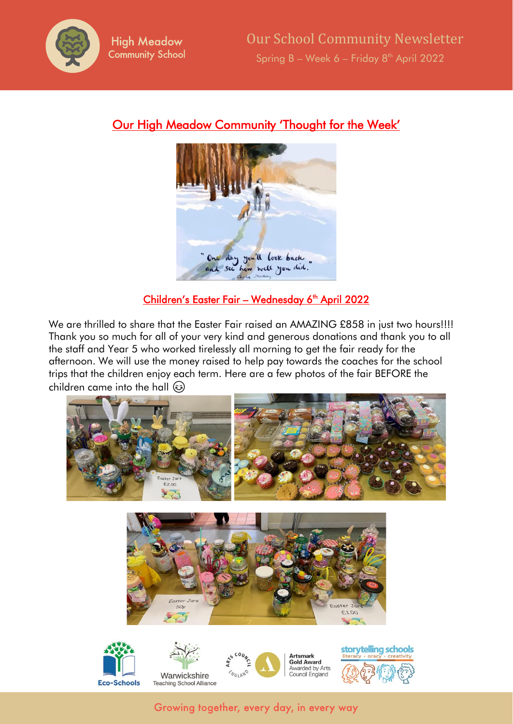

# Our High Meadow Community 'Thought for the Week'



## <u>Children's Easter Fair – Wednesday 6<sup>th</sup> April 2022</u>

We are thrilled to share that the Easter Fair raised an AMAZING £858 in just two hours!!!! Thank you so much for all of your very kind and generous donations and thank you to all the staff and Year 5 who worked tirelessly all morning to get the fair ready for the afternoon. We will use the money raised to help pay towards the coaches for the school trips that the children enjoy each term. Here are a few photos of the fair BEFORE the children came into the hall  $\circledS$ 





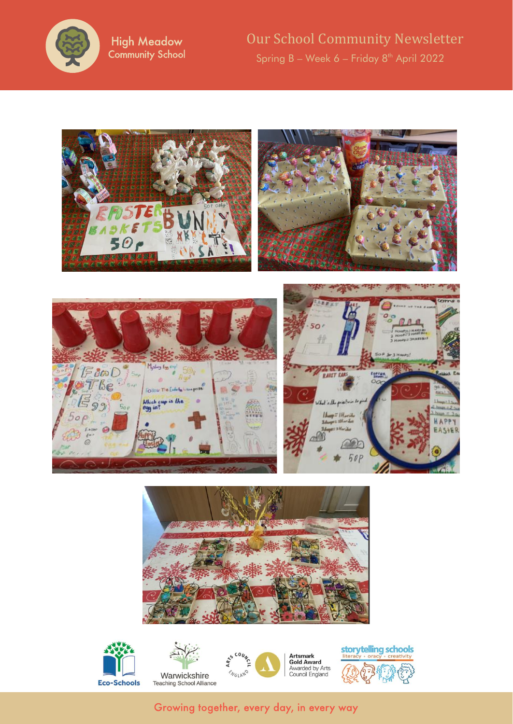

**High Meadow Community School**  Our School Community Newsletter Spring B – Week 6 – Friday 8 th April 2022





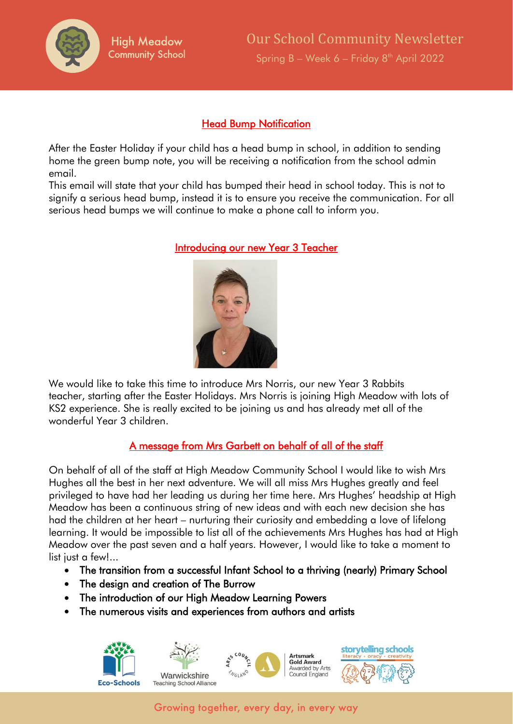

#### Head Bump Notification

After the Easter Holiday if your child has a head bump in school, in addition to sending home the green bump note, you will be receiving a notification from the school admin email.

This email will state that your child has bumped their head in school today. This is not to signify a serious head bump, instead it is to ensure you receive the communication. For all serious head bumps we will continue to make a phone call to inform you.



Introducing our new Year 3 Teacher

We would like to take this time to introduce Mrs Norris, our new Year 3 Rabbits teacher, starting after the Easter Holidays. Mrs Norris is joining High Meadow with lots of KS2 experience. She is really excited to be joining us and has already met all of the wonderful Year 3 children.

#### A message from Mrs Garbett on behalf of all of the staff

On behalf of all of the staff at High Meadow Community School I would like to wish Mrs Hughes all the best in her next adventure. We will all miss Mrs Hughes greatly and feel privileged to have had her leading us during her time here. Mrs Hughes' headship at High Meadow has been a continuous string of new ideas and with each new decision she has had the children at her heart – nurturing their curiosity and embedding a love of lifelong learning. It would be impossible to list all of the achievements Mrs Hughes has had at High Meadow over the past seven and a half years. However, I would like to take a moment to list just a few!...

- The transition from a successful Infant School to a thriving (nearly) Primary School
- The design and creation of The Burrow
- The introduction of our High Meadow Learning Powers
- The numerous visits and experiences from authors and artists

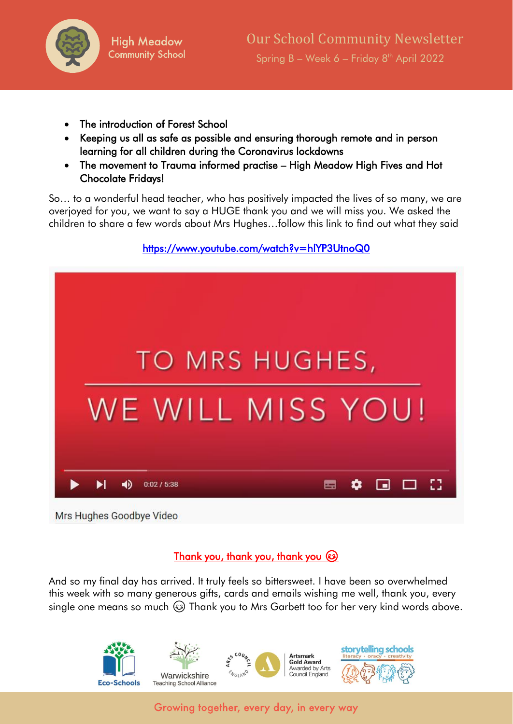

- The introduction of Forest School
- Keeping us all as safe as possible and ensuring thorough remote and in person learning for all children during the Coronavirus lockdowns
- The movement to Trauma informed practise High Meadow High Fives and Hot Chocolate Fridays!

So… to a wonderful head teacher, who has positively impacted the lives of so many, we are overjoyed for you, we want to say a HUGE thank you and we will miss you. We asked the children to share a few words about Mrs Hughes…follow this link to find out what they said

## <https://www.youtube.com/watch?v=hlYP3UtnoQ0>



Mrs Hughes Goodbye Video

# Thank you, thank you, thank you

And so my final day has arrived. It truly feels so bittersweet. I have been so overwhelmed this week with so many generous gifts, cards and emails wishing me well, thank you, every single one means so much  $\circled{a}$  Thank you to Mrs Garbett too for her very kind words above.